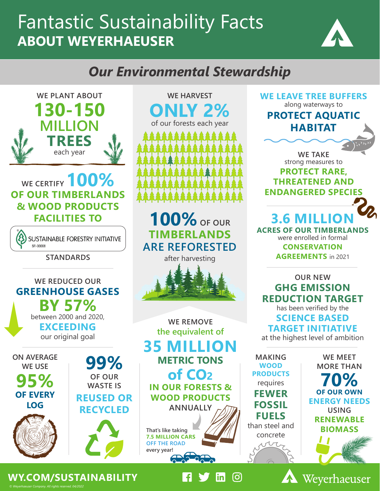# Fantastic Sustainability Facts **ABOUT WEYERHAEUSER**



### *Our Environmental Stewardship*

**WE CERTIFY 100% OF OUR TIMBERLANDS & WOOD PRODUCTS FACILITIES TO MILLION TREES** each year

**WE PLANT ABOUT**

**130-150**

SUSTAINABLE FORESTRY INITIATIVE SEL OOOOR

**STANDARDS**

#### **WE REDUCED OUR GREENHOUSE GASES BY 57%** between 2000 and 2020, **EXCEEDING** our original goal



**OF OUR WASTE IS REUSED OR RECYCLED 99%**



**WE HARVEST ONLY 2%** of our forests each year 14444444444

**100%OF OUR TIMBERLANDS ARE REFORESTED** after harvesting



**WE REMOVE the equivalent of 35 MILLION METRIC TONS of CO2 IN OUR FORESTS & WOOD PRODUCTS ANNUALLY**

**That's like taking 7.5 MILLION CARS OFF THE ROAD every year!**

-61

 $|\mathsf{in}|$ 

 $[O]$ 



**RENEWABLE BIOMASS** 

than steel and concrete



*© Weyerhaeuser Company. All rights reserved. 04/2022* **WY.COM/SUSTAINABILITY**